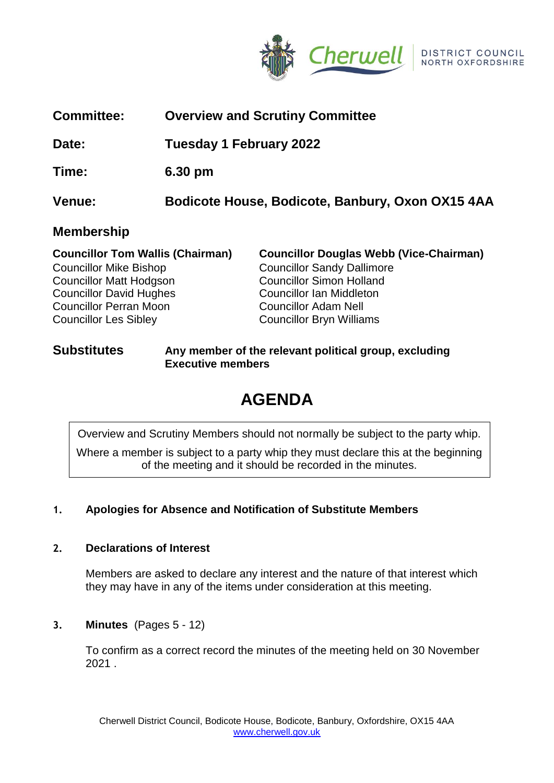

| <b>Committee:</b> | <b>Overview and Scrutiny Committee</b> |  |
|-------------------|----------------------------------------|--|
|                   |                                        |  |

**Date: Tuesday 1 February 2022**

**Time: 6.30 pm**

**Venue: Bodicote House, Bodicote, Banbury, Oxon OX15 4AA**

# **Membership**

| <b>Councillor Tom Wallis (Chairman)</b> | <b>Councillor Douglas Webb (Vice-Chairman)</b> |
|-----------------------------------------|------------------------------------------------|
| <b>Councillor Mike Bishop</b>           | <b>Councillor Sandy Dallimore</b>              |
| <b>Councillor Matt Hodgson</b>          | <b>Councillor Simon Holland</b>                |
| <b>Councillor David Hughes</b>          | Councillor Ian Middleton                       |
| <b>Councillor Perran Moon</b>           | <b>Councillor Adam Nell</b>                    |
| <b>Councillor Les Sibley</b>            | <b>Councillor Bryn Williams</b>                |

## **Substitutes Any member of the relevant political group, excluding Executive members**

# **AGENDA**

Overview and Scrutiny Members should not normally be subject to the party whip.

Where a member is subject to a party whip they must declare this at the beginning of the meeting and it should be recorded in the minutes.

# **1. Apologies for Absence and Notification of Substitute Members**

# **2. Declarations of Interest**

Members are asked to declare any interest and the nature of that interest which they may have in any of the items under consideration at this meeting.

# **3. Minutes** (Pages 5 - 12)

To confirm as a correct record the minutes of the meeting held on 30 November 2021 .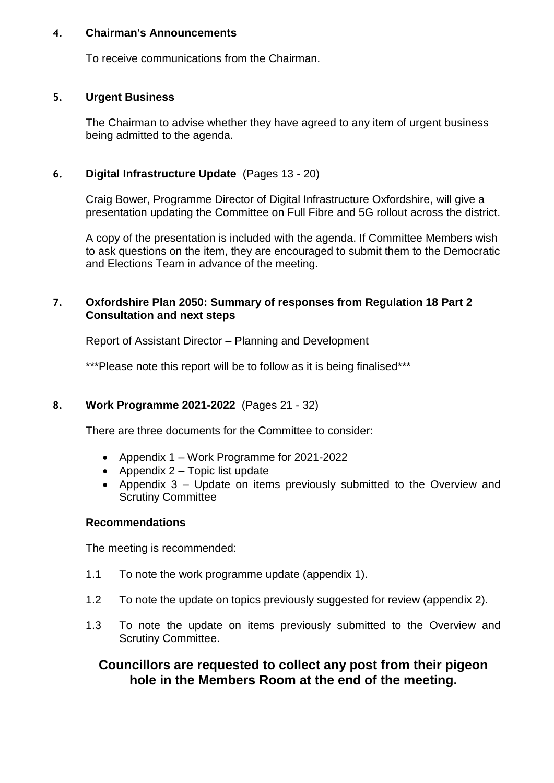## **4. Chairman's Announcements**

To receive communications from the Chairman.

## **5. Urgent Business**

The Chairman to advise whether they have agreed to any item of urgent business being admitted to the agenda.

# **6. Digital Infrastructure Update** (Pages 13 - 20)

Craig Bower, Programme Director of Digital Infrastructure Oxfordshire, will give a presentation updating the Committee on Full Fibre and 5G rollout across the district.

A copy of the presentation is included with the agenda. If Committee Members wish to ask questions on the item, they are encouraged to submit them to the Democratic and Elections Team in advance of the meeting.

## **7. Oxfordshire Plan 2050: Summary of responses from Regulation 18 Part 2 Consultation and next steps**

Report of Assistant Director – Planning and Development

\*\*\*Please note this report will be to follow as it is being finalised\*\*\*

# **8. Work Programme 2021-2022** (Pages 21 - 32)

There are three documents for the Committee to consider:

- Appendix 1 Work Programme for 2021-2022
- Appendix  $2 -$  Topic list update
- Appendix 3 Update on items previously submitted to the Overview and Scrutiny Committee

## **Recommendations**

The meeting is recommended:

- 1.1 To note the work programme update (appendix 1).
- 1.2 To note the update on topics previously suggested for review (appendix 2).
- 1.3 To note the update on items previously submitted to the Overview and Scrutiny Committee.

# **Councillors are requested to collect any post from their pigeon hole in the Members Room at the end of the meeting.**